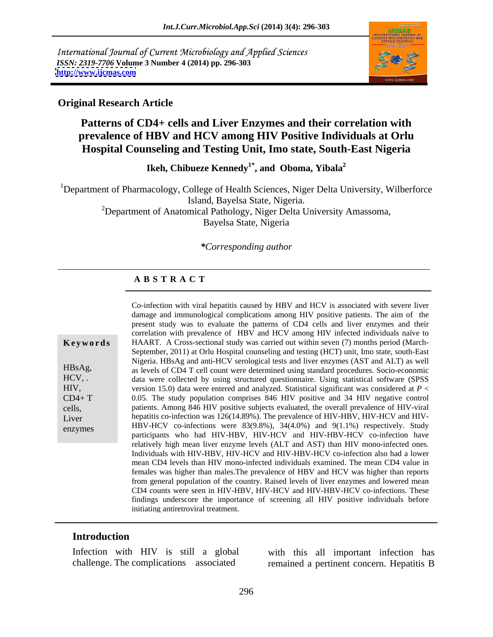International Journal of Current Microbiology and Applied Sciences *ISSN: 2319-7706* **Volume 3 Number 4 (2014) pp. 296-303 <http://www.ijcmas.com>**



### **Original Research Article**

## **Patterns of CD4+ cells and Liver Enzymes and their correlation with prevalence of HBV and HCV among HIV Positive Individuals at Orlu Hospital Counseling and Testing Unit, Imo state, South-East Nigeria**

**Ikeh, Chibueze Kennedy1\* , and Oboma, Yibala<sup>2</sup>**

<sup>1</sup>Department of Pharmacology, College of Health Sciences, Niger Delta University, Wilberforce Island, Bayelsa State, Nigeria.

<sup>2</sup>Department of Anatomical Pathology, Niger Delta University Amassoma, Bayelsa State, Nigeria

#### *\*Corresponding author*

### **A B S T R A C T**

|          | damage and immunological complications among HIV positive patients. The aim of the            |
|----------|-----------------------------------------------------------------------------------------------|
|          | present study was to evaluate the patterns of CD4 cells and liver enzymes and their           |
|          | correlation with prevalence of HBV and HCV among HIV infected individuals naïve to            |
| Keywords | HAART. A Cross-sectional study was carried out within seven (7) months period (March-         |
|          | September, 2011) at Orlu Hospital counseling and testing (HCT) unit, Imo state, south-East    |
|          | Nigeria. HBsAg and anti-HCV serological tests and liver enzymes (AST and ALT) as well         |
| HBsAg,   | as levels of CD4 T cell count were determined using standard procedures. Socio-economic       |
| HCV, .   | data were collected by using structured questionnaire. Using statistical software (SPSS       |
| HIV,     | version 15.0) data were entered and analyzed. Statistical significant was considered at $P <$ |
|          |                                                                                               |
| $CD4+T$  | 0.05. The study population comprises 846 HIV positive and 34 HIV negative control             |
| cells,   | patients. Among 846 HIV positive subjects evaluated, the overall prevalence of HIV-viral      |
| Liver    | hepatitis co-infection was 126(14.89%). The prevalence of HIV-HBV, HIV-HCV and HIV-           |
| enzymes  | HBV-HCV co-infections were 83(9.8%), 34(4.0%) and 9(1.1%) respectively. Study                 |
|          | participants who had HIV-HBV, HIV-HCV and HIV-HBV-HCV co-infection have                       |
|          | relatively high mean liver enzyme levels (ALT and AST) than HIV mono-infected ones.           |
|          | Individuals with HIV-HBV, HIV-HCV and HIV-HBV-HCV co-infection also had a lower               |
|          | mean CD4 levels than HIV mono-infected individuals examined. The mean CD4 value in            |
|          | females was higher than males. The prevalence of HBV and HCV was higher than reports          |
|          | from general population of the country. Raised levels of liver enzymes and lowered mean       |
|          | CD4 counts were seen in HIV-HBV, HIV-HCV and HIV-HBV-HCV co-infections. These                 |
|          | findings underscore the importance of screening all HIV positive individuals before           |
|          | initiating antiretroviral treatment.                                                          |
|          |                                                                                               |

Co-infection with viral hepatitis caused by HBV and HCV is associated with severe liver

### **Introduction**

Infection with HIV is still a global with this all important infection has

challenge. The complications associated remained a pertinent concern. Hepatitis B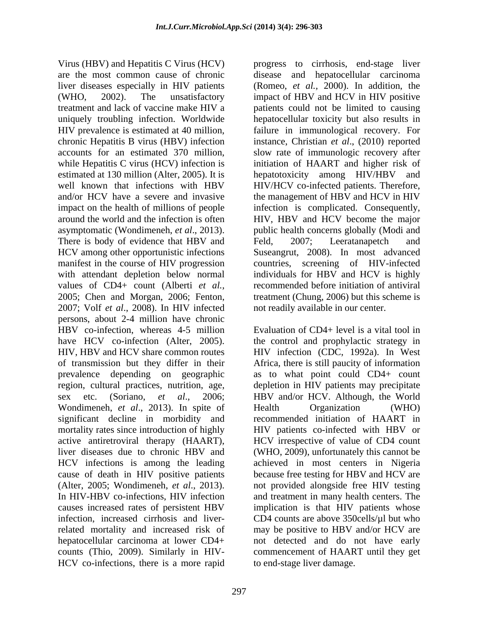Virus (HBV) and Hepatitis C Virus (HCV) progress to cirrhosis, end-stage liver are the most common cause of chronic disease and hepatocellular carcinoma liver diseases especially in HIV patients (WHO, 2002). The unsatisfactory impact of HBV and HCV in HIV positive treatment and lack of vaccine make HIV a patients could not be limited to causing uniquely troubling infection. Worldwide HIV prevalence is estimated at 40 million, failure in immunological recovery. For chronic Hepatitis B virus (HBV) infection instance, Christian *et al.*, (2010) reported accounts for an estimated 370 million, slow rate of immunologic recovery after while Hepatitis C virus (HCV) infection is initiation of HAART and higher risk of estimated at 130 million (Alter, 2005). It is hepatotoxicity among HIV/HBV and well known that infections with HBV HIV/HCV co-infected patients. Therefore, and/or HCV have a severe and invasive the management of HBV and HCV in HIV impact on the health of millions of people infection is complicated. Consequently, around the world and the infection is often HIV, HBV and HCV become the major asymptomatic (Wondimeneh, *et al*., 2013). public health concerns globally (Modi and There is body of evidence that HBV and Feld, 2007; Leeratanapetch and HCV among other opportunistic infections manifest in the course of HIV progression countries, screening of HIV-infected with attendant depletion below normal individuals for HBV and HCV is highly values of CD4+ count (Alberti *et al.,* 2005; Chen and Morgan, 2006; Fenton, treatment (Chung, 2006) but this scheme is 2007; Volf *et al*., 2008). In HIV infected persons, about 2-4 million have chronic HBV co-infection, whereas 4-5 million have HCV co-infection (Alter, 2005). the control and prophylactic strategy in HIV, HBV and HCV share common routes HIV infection (CDC, 1992a). In West of transmission but they differ in their prevalence depending on geographic as to what point could CD4+ count region, cultural practices, nutrition, age, depletion in HIV patients may precipitate sex etc. (Soriano, *et al*., 2006; HBV and/or HCV. Although, the World Wondimeneh, *et al.*, 2013). In spite of Health Organization (WHO) significant decline in morbidity and mortality rates since introduction of highly active antiretroviral therapy (HAART), HCV irrespective of value of CD4 count liver diseases due to chronic HBV and (WHO, 2009), unfortunately this cannot be HCV infections is among the leading achieved in most centers in Nigeria cause of death in HIV positive patients (Alter, 2005; Wondimeneh, *et al*., 2013). not provided alongside free HIV testing In HIV-HBV co-infections, HIV infection and treatment in many health centers. The causes increased rates of persistent HBV implication is that HIV patients whose infection, increased cirrhosis and liver-CD4 counts are above 350cells/µl but who related mortality and increased risk of may be positive to HBV and/or HCV are hepatocellular carcinoma at lower CD4+ not detected and do not have early counts (Thio, 2009). Similarly in HIV- HCV co-infections, there is a more rapid

297

(Romeo, *et al.,* 2000). In addition, the hepatocellular toxicity but also results in failure in immunological recovery. For instance, Christian *et al*., (2010) reported slow rate of immunologic recovery after initiation of HAART and higher risk of Feld, 2007; Leeratanapetch and Suseangrut, 2008). In most advanced recommended before initiation of antiviral not readily available in our center.

Evaluation of CD4+ level is a vital tool in Africa, there is still paucity of information Health Organization (WHO) recommended initiation of HAART in HIV patients co-infected with HBV or because free testing for HBV and HCV are commencement of HAART until they get to end-stage liver damage.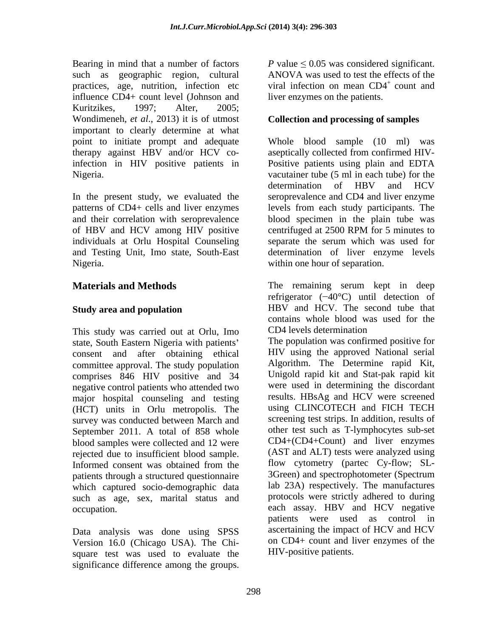Bearing in mind that a number of factors  $P$  value  $\leq 0.05$  was considered significant. such as geographic region, cultural ANOVA was used to test the effects of the practices, age, nutrition, infection etc influence CD4+ count level (Johnson and Kuritzikes, 1997; Alter, 2005; Wondimeneh, *et al*., 2013) it is of utmost important to clearly determine at what

In the present study, we evaluated the of HBV and HCV among HIV positive centrifuged at 2500 RPM for 5 minutes to Nigeria. within one hour of separation.

This study was carried out at Orlu, Imo CD4 levels determination state, South Eastern Nigeria with patients consent and after obtaining ethical committee approval. The study population comprises 846 HIV positive and 34 negative control patients who attended two major hospital counseling and testing (HCT) units in Orlu metropolis. The survey was conducted between March and September 2011. A total of 858 whole blood samples were collected and 12 were rejected due to insufficient blood sample. patients through a structured questionnaire 3Green) and spectrophotometer (Spectrum which captured socio-demographic data such as age, sex, marital status and

Data analysis was done using SPSS Version 16.0 (Chicago USA). The Chi square test was used to evaluate the viral infection on mean  $CD4^+$  count and liver enzymes on the patients.

### **Collection and processing of samples**

point to initiate prompt and adequate Whole blood sample (10 ml) was therapy against HBV and/or HCV co-aseptically collected from confirmed HIV infection in HIV positive patients in Positive patients using plain and EDTA Nigeria. vacutainer tube (5 ml in each tube) for the patterns of CD4+ cells and liver enzymes levels from each study participants. The and their correlation with seroprevalence blood specimen in the plain tube was individuals at Orlu Hospital Counseling separate the serum which was used for and Testing Unit, Imo state, South-East determination of liver enzyme levels determination of HBV and HCV seroprevalence and CD4 and liver enzyme centrifuged at 2500 RPM for 5 minutes to

**Materials and Methods** The remaining serum kept in deep **Study area and population EXECUTE:** HBV and HCV. The second tube that refrigerator  $(-40^{\circ}C)$  until detection of HBV and HCV. The second tube that contains whole blood was used for the CD4 levels determination

Informed consent was obtained from the flow cytometry (partec Cy-flow; SLoccupation. each assay. HBV and HCV negative Receive a monger of 40°C) can be effects or the significance of the significance among CDV was used to test the groups. The groups of the groups of the groups of the groups of the groups of the groups of the groups of the The population was confirmed positive for HIV using the approved National serial Algorithm. The Determine rapid Kit, Unigold rapid kit and Stat-pak rapid kit were used in determining the discordant results. HBsAg and HCV were screened using CLINCOTECH and FICH TECH screening test strips. In addition, results of other test such as T-lymphocytes sub-set CD4+(CD4+Count) and liver enzymes (AST and ALT) tests were analyzed using flow cytometry (partec Cy-flow; SL- 3Green) and spectrophotometer (Spectrum lab 23A) respectively. The manufactures protocols were strictly adhered to during patients were used as control in ascertaining the impact of HCV and HCV on CD4+ count and liver enzymes of the HIV-positive patients.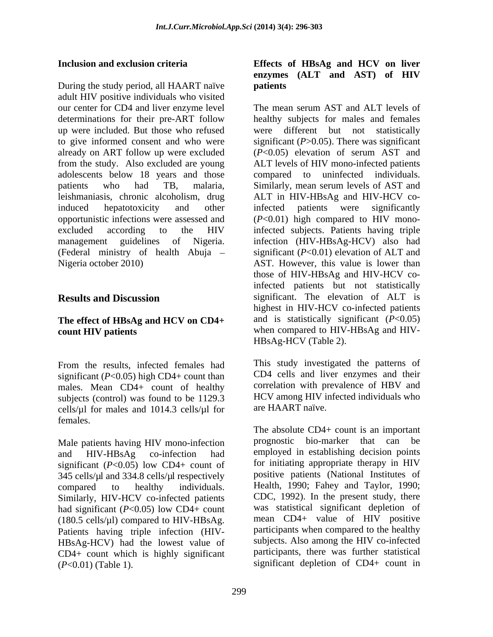During the study period, all HAART naïve **patients** adult HIV positive individuals who visited our center for CD4 and liver enzyme level The mean serum AST and ALT levels of already on ART follow up were excluded  $(P<0.05)$  elevation of serum AST and from the study. Also excluded are young adolescents below 18 years and those

# **The effect of HBsAg and HCV on CD4+**

From the results, infected females had This study investigated the patterns of significant (*P*<0.05) high CD4+ count than males. Mean CD4+ count of healthy subjects (control) was found to be 1129.3 cells/µl for males and 1014.3 cells/µl for females.

Male patients having HIV mono-infection and HIV-HBsAg co-infection had employed in establishing decision points significant  $(P<0.05)$  low CD4+ count of 345 cells/µl and 334.8 cells/µl respectively compared to healthy individuals. Health, 1990; Fahey and Taylor, 1990; Similarly, HIV-HCV co-infected patients had significant (*P*<0.05) low CD4+ count (180.5 cells/µl) compared to HIV-HBsAg. Patients having triple infection (HIV- HBsAg-HCV) had the lowest value of CD4+ count which is highly significant (*P*<0.01) (Table 1). significant depletion of CD4+ count in

### **Inclusion and exclusion criteria Effects of HBsAg and HCV on liver enzymes (ALT and AST) of HIV patients**

determinations for their pre-ART follow healthy subjects for males and females up were included. But those who refused were different but not statistically to give informed consent and who were significant (*P*>0.05). There was significant patients who had TB, malaria, Similarly, mean serum levels of AST and leishmaniasis, chronic alcoholism, drug ALT in HIV-HBsAg and HIV-HCV coinduced hepatotoxicity and other infected patients were significantly opportunistic infections were assessed and (*P*<0.01) high compared to HIV monoexcluded according to the HIV infected subjects. Patients having triple management guidelines of Nigeria. infection (HIV-HBsAg-HCV) also had (Federal ministry of health Abuja significant (*P*<0.01) elevation of ALT and Nigeria october 2010) AST. However, this value is lower than **Results and Discussion** significant. The elevation of ALT is **count HIV patients** when compared to HIV-HBsAg and HIV- The mean serum AST and ALT levels of (*P*<0.05) elevation of serum AST and ALT levels of HIV mono-infected patients compared to uninfected individuals. infected patients were significantly those of HIV-HBsAg and HIV-HCV coinfected patients but not statistically highest in HIV-HCV co-infected patients and is statistically significant (*P*<0.05) HBsAg-HCV (Table 2).

> This study investigated the patterns of CD4 cells and liver enzymes and their correlation with prevalence of HBV and HCV among HIV infected individuals who are HAART naïve.

> The absolute CD4+ count is an important prognostic bio-marker that can be for initiating appropriate therapy in HIV positive patients (National Institutes of CDC, 1992). In the present study, there was statistical significant depletion of mean CD4+ value of HIV positive participants when compared to the healthy subjects. Also among the HIV co-infected participants, there was further statistical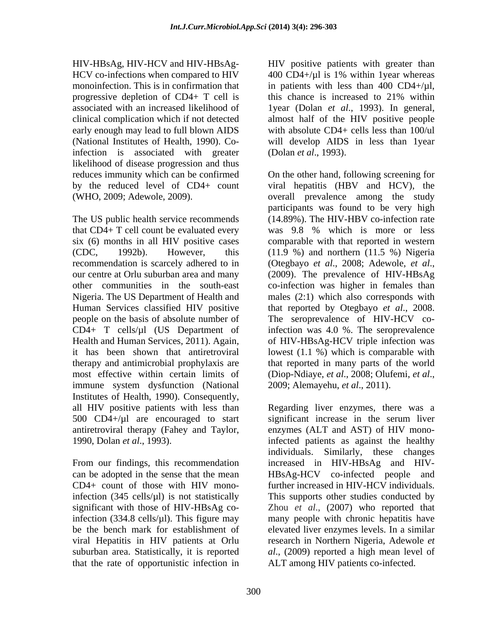progressive depletion of CD4+ T cell is this chance is increased to 21% within infection is associated with greater likelihood of disease progression and thus

The US public health service recommends recommendation is scarcely adhered to in (Otegbayo et al., 2008; Adewole, et al., our centre at Orlu suburban area and many (2009). The prevalence of HIV-HBsAg most effective within certain limits of (Diop-Ndiaye, *et al.*, 2008; Olufemi, *et al.*, 2011).<br>
immune system dysfunction (National 2009; Alemayehu, *et al.*, 2011). immune system dysfunction (National 2009; Alemayehu, *et al.*, 2011). Institutes of Health, 1990). Consequently,

infection (334.8 cells/ $\mu$ l). This figure may that the rate of opportunistic infection in

HIV-HBsAg, HIV-HCV and HIV-HBsAg- HIV positive patients with greater than HCV co-infections when compared to HIV  $\sim 400 \text{ CD}4 + \mu$  is 1% within 1year whereas monoinfection. This is in confirmation that in patients with less than 400 CD4+/ $\mu$ l, associated with an increased likelihood of 1year (Dolan *et al*., 1993). In general, clinical complication which if not detected almost half of the HIV positive people early enough may lead to full blown AIDS with absolute CD4+ cells less than 100/ul (National Institutes of Health, 1990). Co-will develop AIDS in less than 1year this chance is increased to 21% within (Dolan *et al*., 1993).

reduces immunity which can be confirmed On the other hand, following screening for by the reduced level of CD4+ count viral hepatitis (HBV and HCV), the (WHO, 2009; Adewole, 2009). overall prevalence among the study that CD4+ T cell count be evaluated every was 9.8 % which is more or less six (6) months in all HIV positive cases comparable with that reported in western (CDC, 1992b). However, this (11.9 %) and northern (11.5 %) Nigeria other communities in the south-east co-infection was higher in females than Nigeria. The US Department of Health and males (2:1) which also corresponds with Human Services classified HIV positive that reported by Otegbayo *et al*., 2008. people on the basis of absolute number of The seroprevalence of HIV-HCV co-CD4+ T cells/µl (US Department of infection was 4.0 %. The seroprevalence Health and Human Services, 2011). Again, of HIV-HBsAg-HCV triple infection was it has been shown that antiretroviral lowest (1.1 %) which is comparable with therapy and antimicrobial prophylaxis are that reported in many parts of the world participants was found to be very high (14.89%). The HIV-HBV co-infection rate (Otegbayo *et al*., 2008; Adewole, *et al*., (2009). The prevalence of HIV-HBsAg

all HIV positive patients with less than Regarding liver enzymes, there was a 500 CD4+/µl are encouraged to start significant increase in the serum liver antiretroviral therapy (Fahey and Taylor, enzymes (ALT and AST) of HIV mono-1990, Dolan *et al*., 1993). infected patients as against the healthy From our findings, this recommendation increased in HIV-HBsAg and HIVcan be adopted in the sense that the mean HBsAg-HCV co-infected people and CD4+ count of those with HIV mono-further increased in HIV-HCV individuals. infection (345 cells/µl) is not statistically This supports other studies conducted by significant with those of HIV-HBsAg co-Zhou *et al*., (2007) who reported that be the bench mark for establishment of elevated liver enzymes levels. In a similar viral Hepatitis in HIV patients at Orlu research in Northern Nigeria, Adewole *et* suburban area. Statistically, it is reported *al*., (2009) reported a high mean level of individuals. Similarly, these changes many people with chronic hepatitis have ALT among HIV patients co-infected.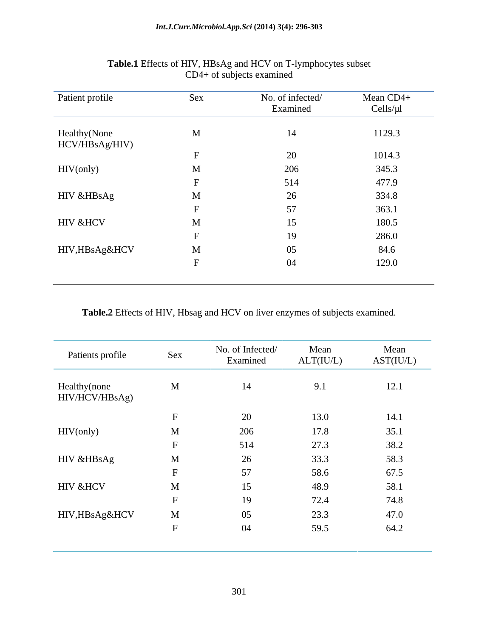| Patient profile                 | Sex | No. of infected/<br>Examined | Mean CD4+<br>Cells/µl |
|---------------------------------|-----|------------------------------|-----------------------|
| Healthy (None<br>HCV/HBsAg/HIV) | M   |                              | 1129.3                |
|                                 |     | $\mathbf{A}$                 | 1014.3                |
| HIV(only)                       |     | 206                          | 345.3                 |
|                                 |     | 514                          | 477.9                 |
| HIV &HBsAg                      | M   | $\sim$                       | 334.8                 |
|                                 |     | $ -$                         | 363.1                 |
| HIV &HCV                        | M   |                              | 180.5                 |
|                                 |     |                              | 286.0                 |
| HIV,HBsAg&HCV                   | M   | $05\,$                       | 84.6                  |
|                                 |     | 04                           | 129.0                 |

#### **Table.1** Effects of HIV, HBsAg and HCV on T-lymphocytes subset CD4+ of subjects examined

**Table.2** Effects of HIV, Hbsag and HCV on liver enzymes of subjects examined.

| Sex<br>Patients profile<br>Healthy(none<br>$\mathbf{M}$<br>HIV/HCV/HBsAg)<br>HIV(only)<br>$\mathbf{M}$<br>HIV & HBsAg<br>$\mathbf{M}$<br>HIV &HCV<br>$\mathbf{M}$ |              |                              |                   |                   |
|-------------------------------------------------------------------------------------------------------------------------------------------------------------------|--------------|------------------------------|-------------------|-------------------|
|                                                                                                                                                                   |              | No. of Infected/<br>Examined | Mean<br>ALT(IU/L) | Mean<br>AST(IU/L) |
|                                                                                                                                                                   |              | 14                           | 9.1               | 12.1              |
|                                                                                                                                                                   |              | 20                           | 13.0              | 14.1              |
|                                                                                                                                                                   |              | 206                          | 17.8              | 35.1              |
|                                                                                                                                                                   |              | 514                          | 27.3              | 38.2              |
|                                                                                                                                                                   |              | 26                           | 33.3              | 58.3              |
|                                                                                                                                                                   |              | 57                           | 58.6              | 67.5              |
|                                                                                                                                                                   |              | 15                           | 48.9              | 58.1              |
|                                                                                                                                                                   |              | 19                           | 72.4              | 74.8              |
| HIV,HBsAg&HCV                                                                                                                                                     | $\mathbf{M}$ | 05                           | 23.3              | 47.0              |
|                                                                                                                                                                   |              | 04                           | 59.5              | 64.2              |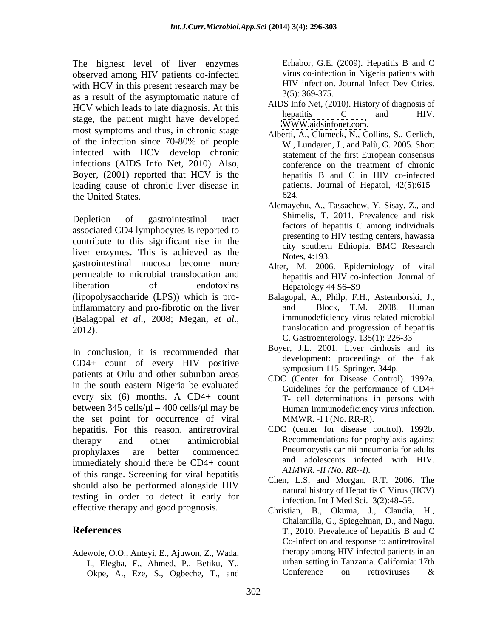The highest level of liver enzymes observed among HIV patients co-infected with HCV in this present research may be  $\frac{H}{V}$  infection. as a result of the asymptomatic nature of  $HCV$  which leads to late diagnosis. At this  $HUS$  and  $HIV$ .<br>Hepatitis  $HUV$ . stage, the patient might have developed most symptoms and thus, in chronic stage infected with HCV develop chronic infections (AIDS Info Net, 2010). Also, Boyer, (2001) reported that HCV is the leading cause of chronic liver disease in the United States.

Depletion of gastrointestinal tract Shimelis, I. 2011. Prevalence and risk associated CD4 lymphocytes is reported to contribute to this significant rise in the liver enzymes. This is achieved as the Notes, 4:193. gastrointestinal mucosa become more permeable to microbial translocation and liberation of endotoxins Hepatology 44 S6–S9 (lipopolysaccharide (LPS)) which is pro-Balagopal, A., Philp, F.H., Astemborski, J., inflammatory and pro-fibrotic on the liver and Block, T.M. 2008. Human (Balagopal *et al*., 2008; Megan, *et al*., 2012). translocation and progression of hepatitis

In conclusion, it is recommended that CD4+ count of every HIV positive patients at Orlu and other suburban areas in the south eastern Nigeria be evaluated every six (6) months. A CD4+ count between 345 cells/µl - 400 cells/µl may be the set point for occurrence of viral hepatitis. For this reason, antiretroviral CDC (center for disease control). 1992b. therapy and other antimicrobial Recommendations for prophylaxis against prophylaxes are better commenced Pneumocystis carinii pneumonia for adults immediately should there be CD4+ count of this range. Screening for viral hepatitis should also be performed alongside HIV testing in order to detect it early for effective therapy and good prognosis.

Adewole, O.O., Anteyi, E., Ajuwon, Z., Wada, Okpe, A., Eze, S., Ogbeche, T., and Erhabor, G.E. (2009). Hepatitis B and C virus co-infection in Nigeria patients with HIV infection. Journal Infect Dev Ctries. 3(5): 369-375.

- AIDS Info Net, (2010). History of diagnosis of hepatitis C and HIV. [WWW.aidsinfonet.com](http://WWW.aidsinfonet.com).
- of the infection since  $70-80\%$  of people  $W$  Lundgren L and Palu G 2005 Short Alberti, A., Clumeck, N., Collins, S., Gerlich, W., Lundgren, J., and Palù, G. 2005. Short statement of the first European consensus conference on the treatment of chronic hepatitis B and C in HIV co-infected patients. Journal of Hepatol, 42(5):615-624.
	- Alemayehu, A., Tassachew, Y, Sisay, Z., and Shimelis, T. 2011. Prevalence and risk factors of hepatitis C among individuals presenting to HIV testing centers, hawassa city southern Ethiopia. BMC Research Notes, 4:193.
	- Alter, M. 2006. Epidemiology of viral hepatitis and HIV co-infection. Journal of Hepatology 44 S6–S9
	- and Block, T.M. 2008. Human immunodeficiency virus-related microbial C. Gastroenterology. 135(1): 226-33
	- Boyer, J.L. 2001. Liver cirrhosis and its development: proceedings of the flak symposium 115. Springer. 344p.
	- CDC (Center for Disease Control). 1992a. Guidelines for the performance of CD4+ T- cell determinations in persons with Human Immunodeficiency virus infection. MMWR. -I I (No. RR-R).
	- Pneumocystis carinii pneumonia for adults and adolescents infected with HIV. *A1MWR. -II (No. RR--I).*
	- Chen, L.S, and Morgan, R.T. 2006. The natural history of Hepatitis C Virus (HCV) infection. Int J Med Sci.  $3(2):48-59$ .
- **References** T., 2010. Prevalence of hepatitis B and C I., Elegba, F., Ahmed, P., Betiku, Y.,<br>
Okpe A Eze S. Ogbeche T. and Conference on retroviruses & Christian, B., Okuma, J., Claudia, H., Chalamilla, G., Spiegelman, D., and Nagu, Co-infection and response to antiretroviral therapy among HIV-infected patients in an urban setting in Tanzania. California: 17th Conference on retroviruses &